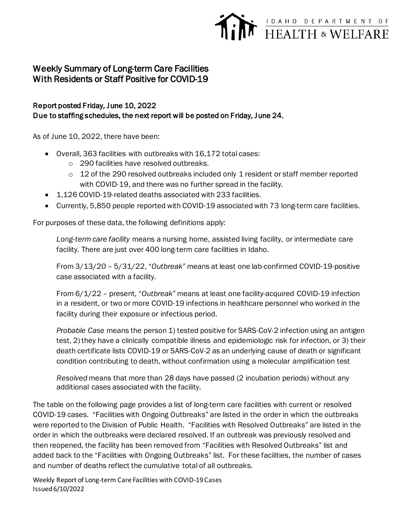## EXPARTMENT OF HEALTH & WELFARE

## Weekly Summary of Long-term Care Facilities With Residents or Staff Positive for COVID-19

## Report posted Friday, June 10, 2022 Due to staffing schedules, the next report will be posted on Friday, June 24.

As of June 10, 2022, there have been:

- Overall, 363 facilities with outbreaks with 16,172 total cases:
	- o 290 facilities have resolved outbreaks.
	- $\circ$  12 of the 290 resolved outbreaks included only 1 resident or staff member reported with COVID-19, and there was no further spread in the facility.
- 1,126 COVID-19-related deaths associated with 233 facilities.
- Currently, 5,850 people reported with COVID-19 associated with 73 long-term care facilities.

For purposes of these data, the following definitions apply:

*Long-term care facility* means a nursing home, assisted living facility, or intermediate care facility. There are just over 400 long-term care facilities in Idaho.

From 3/13/20 – 5/31/22, "*Outbreak"* means at least one lab-confirmed COVID-19-positive case associated with a facility.

From 6/1/22 – present, "*Outbreak"* means at least one facility-acquired COVID-19 infection in a resident, or two or more COVID-19 infections in healthcare personnel who worked in the facility during their exposure or infectious period.

*Probable Case* means the person 1) tested positive for SARS-CoV-2 infection using an antigen test, 2) they have a clinically compatible illness and epidemiologic risk for infection, or 3) their death certificate lists COVID-19 or SARS-CoV-2 as an underlying cause of death or significant condition contributing to death, without confirmation using a molecular amplification test

*Resolved* means that more than 28 days have passed (2 incubation periods) without any additional cases associated with the facility.

The table on the following page provides a list of long-term care facilities with current or resolved COVID-19 cases. "Facilities with Ongoing Outbreaks" are listed in the order in which the outbreaks were reported to the Division of Public Health. "Facilities with Resolved Outbreaks" are listed in the order in which the outbreaks were declared resolved. If an outbreak was previously resolved and then reopened, the facility has been removed from "Facilities with Resolved Outbreaks" list and added back to the "Facilities with Ongoing Outbreaks" list. For these facilities, the number of cases and number of deaths reflect the cumulative total of all outbreaks.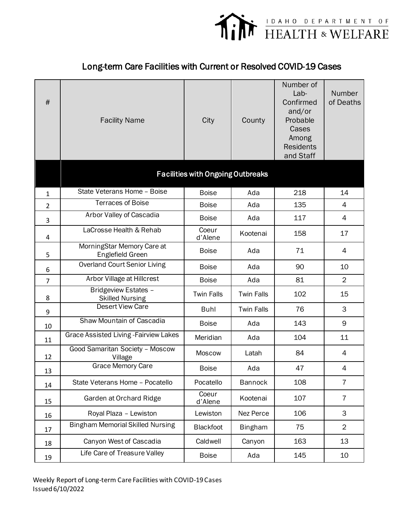

## Long-term Care Facilities with Current or Resolved COVID-19 Cases

| $\#$           | <b>Facility Name</b>                           | City                                     | County            | Number of<br>Lab-<br>Confirmed<br>and/or<br>Probable<br>Cases<br>Among<br><b>Residents</b><br>and Staff | Number<br>of Deaths |
|----------------|------------------------------------------------|------------------------------------------|-------------------|---------------------------------------------------------------------------------------------------------|---------------------|
|                |                                                | <b>Facilities with Ongoing Outbreaks</b> |                   |                                                                                                         |                     |
| $\mathbf{1}$   | State Veterans Home - Boise                    | <b>Boise</b>                             | Ada               | 218                                                                                                     | 14                  |
| $\overline{2}$ | <b>Terraces of Boise</b>                       | <b>Boise</b>                             | Ada               | 135                                                                                                     | $\overline{4}$      |
| 3              | Arbor Valley of Cascadia                       | <b>Boise</b>                             | Ada               | 117                                                                                                     | 4                   |
| 4              | LaCrosse Health & Rehab                        | Coeur<br>d'Alene                         | Kootenai          | 158                                                                                                     | 17                  |
| 5              | MorningStar Memory Care at<br>Englefield Green | <b>Boise</b>                             | Ada               | 71                                                                                                      | 4                   |
| 6              | <b>Overland Court Senior Living</b>            | <b>Boise</b>                             | Ada               | 90                                                                                                      | 10                  |
| $\overline{7}$ | Arbor Village at Hillcrest                     | <b>Boise</b>                             | Ada               | 81                                                                                                      | $\overline{2}$      |
| 8              | Bridgeview Estates -<br><b>Skilled Nursing</b> | <b>Twin Falls</b>                        | <b>Twin Falls</b> | 102                                                                                                     | 15                  |
| 9              | <b>Desert View Care</b>                        | <b>Buhl</b>                              | <b>Twin Falls</b> | 76                                                                                                      | 3                   |
| 10             | Shaw Mountain of Cascadia                      | <b>Boise</b>                             | Ada               | 143                                                                                                     | 9                   |
| 11             | Grace Assisted Living - Fairview Lakes         | Meridian                                 | Ada               | 104                                                                                                     | 11                  |
| 12             | Good Samaritan Society - Moscow<br>Village     | <b>Moscow</b>                            | Latah             | 84                                                                                                      | $\overline{4}$      |
| 13             | Grace Memory Care                              | <b>Boise</b>                             | Ada               | 47                                                                                                      | 4                   |
| 14             | State Veterans Home - Pocatello                | Pocatello                                | <b>Bannock</b>    | 108                                                                                                     | $\overline{7}$      |
| 15             | Garden at Orchard Ridge                        | Coeur<br>d'Alene                         | Kootenai          | 107                                                                                                     | $\overline{7}$      |
| 16             | Royal Plaza - Lewiston                         | Lewiston                                 | Nez Perce         | 106                                                                                                     | 3                   |
| 17             | <b>Bingham Memorial Skilled Nursing</b>        | <b>Blackfoot</b>                         | <b>Bingham</b>    | 75                                                                                                      | $\overline{2}$      |
| 18             | Canyon West of Cascadia                        | Caldwell                                 | Canyon            | 163                                                                                                     | 13                  |
| 19             | Life Care of Treasure Valley                   | <b>Boise</b>                             | Ada               | 145                                                                                                     | 10                  |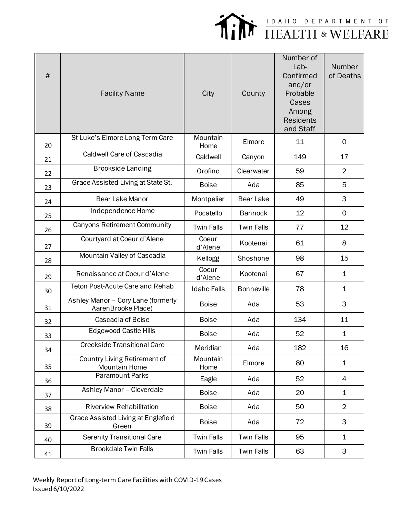

| #  | <b>Facility Name</b>                                     | City               | County            | Number of<br>Lab-<br>Confirmed<br>and/or<br>Probable<br>Cases<br>Among<br><b>Residents</b><br>and Staff | Number<br>of Deaths |
|----|----------------------------------------------------------|--------------------|-------------------|---------------------------------------------------------------------------------------------------------|---------------------|
| 20 | St Luke's Elmore Long Term Care                          | Mountain<br>Home   | Elmore            | 11                                                                                                      | 0                   |
| 21 | <b>Caldwell Care of Cascadia</b>                         | Caldwell           | Canyon            | 149                                                                                                     | 17                  |
| 22 | <b>Brookside Landing</b>                                 | Orofino            | Clearwater        | 59                                                                                                      | $\overline{2}$      |
| 23 | Grace Assisted Living at State St.                       | <b>Boise</b>       | Ada               | 85                                                                                                      | 5                   |
| 24 | <b>Bear Lake Manor</b>                                   | Montpelier         | <b>Bear Lake</b>  | 49                                                                                                      | 3                   |
| 25 | Independence Home                                        | Pocatello          | <b>Bannock</b>    | 12                                                                                                      | 0                   |
| 26 | <b>Canyons Retirement Community</b>                      | <b>Twin Falls</b>  | <b>Twin Falls</b> | 77                                                                                                      | 12                  |
| 27 | Courtyard at Coeur d'Alene                               | Coeur<br>d'Alene   | Kootenai          | 61                                                                                                      | 8                   |
| 28 | Mountain Valley of Cascadia                              | Kellogg            | Shoshone          | 98                                                                                                      | 15                  |
| 29 | Renaissance at Coeur d'Alene                             | Coeur<br>d'Alene   | Kootenai          | 67                                                                                                      | 1                   |
| 30 | <b>Teton Post-Acute Care and Rehab</b>                   | <b>Idaho Falls</b> | <b>Bonneville</b> | 78                                                                                                      | $\mathbf 1$         |
| 31 | Ashley Manor - Cory Lane (formerly<br>AarenBrooke Place) | <b>Boise</b>       | Ada               | 53                                                                                                      | 3                   |
| 32 | Cascadia of Boise                                        | <b>Boise</b>       | Ada               | 134                                                                                                     | 11                  |
| 33 | <b>Edgewood Castle Hills</b>                             | <b>Boise</b>       | Ada               | 52                                                                                                      | 1                   |
| 34 | <b>Creekside Transitional Care</b>                       | Meridian           | Ada               | 182                                                                                                     | 16                  |
| 35 | Country Living Retirement of<br>Mountain Home            | Mountain<br>Home   | Elmore            | 80                                                                                                      | $\mathbf 1$         |
| 36 | <b>Paramount Parks</b>                                   | Eagle              | Ada               | 52                                                                                                      | 4                   |
| 37 | Ashley Manor - Cloverdale                                | <b>Boise</b>       | Ada               | 20                                                                                                      | $\mathbf 1$         |
| 38 | <b>Riverview Rehabilitation</b>                          | <b>Boise</b>       | Ada               | 50                                                                                                      | $\overline{2}$      |
| 39 | Grace Assisted Living at Englefield<br>Green             | <b>Boise</b>       | Ada               | 72                                                                                                      | 3                   |
| 40 | <b>Serenity Transitional Care</b>                        | <b>Twin Falls</b>  | <b>Twin Falls</b> | 95                                                                                                      | $\mathbf 1$         |
| 41 | <b>Brookdale Twin Falls</b>                              | <b>Twin Falls</b>  | <b>Twin Falls</b> | 63                                                                                                      | 3                   |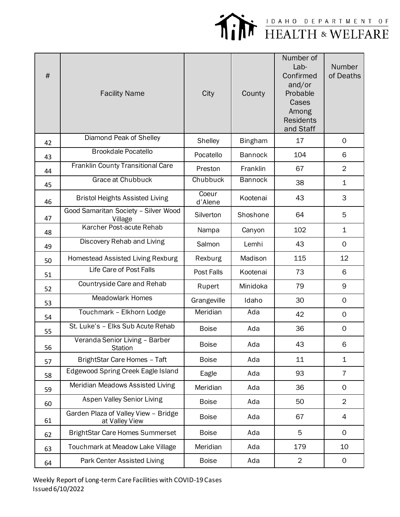

| $\#$ | <b>Facility Name</b>                                   | City             | County         | Number of<br>Lab-<br>Confirmed<br>and/or<br>Probable<br>Cases<br>Among<br><b>Residents</b><br>and Staff | Number<br>of Deaths |
|------|--------------------------------------------------------|------------------|----------------|---------------------------------------------------------------------------------------------------------|---------------------|
| 42   | Diamond Peak of Shelley                                | Shelley          | <b>Bingham</b> | 17                                                                                                      | 0                   |
| 43   | <b>Brookdale Pocatello</b>                             | Pocatello        | <b>Bannock</b> | 104                                                                                                     | 6                   |
| 44   | Franklin County Transitional Care                      | Preston          | Franklin       | 67                                                                                                      | $\overline{2}$      |
| 45   | Grace at Chubbuck                                      | Chubbuck         | <b>Bannock</b> | 38                                                                                                      | $\mathbf 1$         |
| 46   | <b>Bristol Heights Assisted Living</b>                 | Coeur<br>d'Alene | Kootenai       | 43                                                                                                      | 3                   |
| 47   | Good Samaritan Society - Silver Wood<br>Village        | Silverton        | Shoshone       | 64                                                                                                      | 5                   |
| 48   | Karcher Post-acute Rehab                               | Nampa            | Canyon         | 102                                                                                                     | $\mathbf 1$         |
| 49   | Discovery Rehab and Living                             | Salmon           | Lemhi          | 43                                                                                                      | $\mathsf{O}$        |
| 50   | Homestead Assisted Living Rexburg                      | Rexburg          | Madison        | 115                                                                                                     | 12                  |
| 51   | Life Care of Post Falls                                | Post Falls       | Kootenai       | 73                                                                                                      | 6                   |
| 52   | Countryside Care and Rehab                             | Rupert           | Minidoka       | 79                                                                                                      | 9                   |
| 53   | <b>Meadowlark Homes</b>                                | Grangeville      | Idaho          | 30                                                                                                      | 0                   |
| 54   | Touchmark - Elkhorn Lodge                              | Meridian         | Ada            | 42                                                                                                      | $\mathsf{O}$        |
| 55   | St. Luke's - Elks Sub Acute Rehab                      | <b>Boise</b>     | Ada            | 36                                                                                                      | $\mathsf{O}\xspace$ |
| 56   | Veranda Senior Living - Barber<br><b>Station</b>       | <b>Boise</b>     | Ada            | 43                                                                                                      | 6                   |
| 57   | BrightStar Care Homes - Taft                           | <b>Boise</b>     | Ada            | 11                                                                                                      | 1                   |
| 58   | Edgewood Spring Creek Eagle Island                     | Eagle            | Ada            | 93                                                                                                      | $\overline{7}$      |
| 59   | Meridian Meadows Assisted Living                       | Meridian         | Ada            | 36                                                                                                      | $\mathsf{O}$        |
| 60   | <b>Aspen Valley Senior Living</b>                      | <b>Boise</b>     | Ada            | 50                                                                                                      | $\overline{2}$      |
| 61   | Garden Plaza of Valley View - Bridge<br>at Valley View | <b>Boise</b>     | Ada            | 67                                                                                                      | 4                   |
| 62   | <b>BrightStar Care Homes Summerset</b>                 | <b>Boise</b>     | Ada            | 5                                                                                                       | 0                   |
| 63   | Touchmark at Meadow Lake Village                       | Meridian         | Ada            | 179                                                                                                     | 10                  |
| 64   | Park Center Assisted Living                            | <b>Boise</b>     | Ada            | $\overline{c}$                                                                                          | 0                   |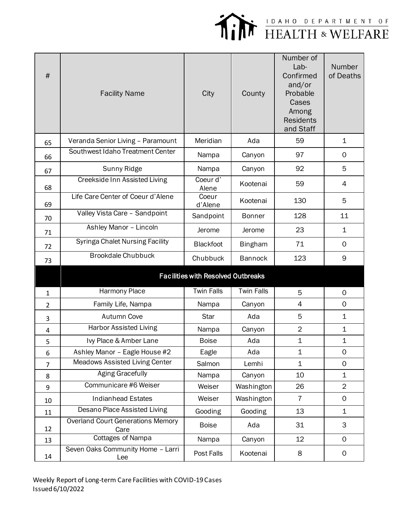

| #              | <b>Facility Name</b>                             | City                                      | County            | Number of<br>Lab-<br>Confirmed<br>and/or<br>Probable<br>Cases<br>Among<br><b>Residents</b><br>and Staff | Number<br>of Deaths |
|----------------|--------------------------------------------------|-------------------------------------------|-------------------|---------------------------------------------------------------------------------------------------------|---------------------|
| 65             | Veranda Senior Living - Paramount                | Meridian                                  | Ada               | 59                                                                                                      | 1                   |
| 66             | Southwest Idaho Treatment Center                 | Nampa                                     | Canyon            | 97                                                                                                      | 0                   |
| 67             | Sunny Ridge                                      | Nampa                                     | Canyon            | 92                                                                                                      | 5                   |
| 68             | Creekside Inn Assisted Living                    | Coeur d'<br>Alene                         | Kootenai          | 59                                                                                                      | 4                   |
| 69             | Life Care Center of Coeur d'Alene                | Coeur<br>d'Alene                          | Kootenai          | 130                                                                                                     | 5                   |
| 70             | Valley Vista Care - Sandpoint                    | Sandpoint                                 | <b>Bonner</b>     | 128                                                                                                     | 11                  |
| 71             | Ashley Manor - Lincoln                           | Jerome                                    | Jerome            | 23                                                                                                      | $\mathbf 1$         |
| 72             | <b>Syringa Chalet Nursing Facility</b>           | <b>Blackfoot</b>                          | <b>Bingham</b>    | 71                                                                                                      | 0                   |
| 73             | <b>Brookdale Chubbuck</b>                        | Chubbuck                                  | <b>Bannock</b>    | 123                                                                                                     | 9                   |
|                |                                                  | <b>Facilities with Resolved Outbreaks</b> |                   |                                                                                                         |                     |
| $\mathbf{1}$   | Harmony Place                                    | <b>Twin Falls</b>                         | <b>Twin Falls</b> | 5                                                                                                       | $\mathbf 0$         |
| $\overline{2}$ | Family Life, Nampa                               | Nampa                                     | Canyon            | 4                                                                                                       | $\mathbf 0$         |
| 3              | Autumn Cove                                      | <b>Star</b>                               | Ada               | 5                                                                                                       | $\mathbf 1$         |
| 4              | <b>Harbor Assisted Living</b>                    | Nampa                                     | Canyon            | $\overline{c}$                                                                                          | 1                   |
| 5              | Ivy Place & Amber Lane                           | <b>Boise</b>                              | Ada               | $\mathbf{1}$                                                                                            | 1                   |
| 6              | Ashley Manor - Eagle House #2                    | Eagle                                     | Ada               | $\mathbf{1}$                                                                                            | $\mathbf 0$         |
| $\overline{7}$ | Meadows Assisted Living Center                   | Salmon                                    | Lemhi             | $\mathbf 1$                                                                                             | 0                   |
| 8              | <b>Aging Gracefully</b>                          | Nampa                                     | Canyon            | 10                                                                                                      | 1                   |
| 9              | Communicare #6 Weiser                            | Weiser                                    | Washington        | 26                                                                                                      | $\overline{2}$      |
| 10             | <b>Indianhead Estates</b>                        | Weiser                                    | Washington        | $\overline{7}$                                                                                          | $\mathbf 0$         |
| 11             | Desano Place Assisted Living                     | Gooding                                   | Gooding           | 13                                                                                                      | 1                   |
| 12             | <b>Overland Court Generations Memory</b><br>Care | <b>Boise</b>                              | Ada               | 31                                                                                                      | 3                   |
| 13             | <b>Cottages of Nampa</b>                         | Nampa                                     | Canyon            | 12                                                                                                      | $\mathsf{O}$        |
| 14             | Seven Oaks Community Home - Larri<br>Lee         | Post Falls                                | Kootenai          | 8                                                                                                       | $\mathsf{O}$        |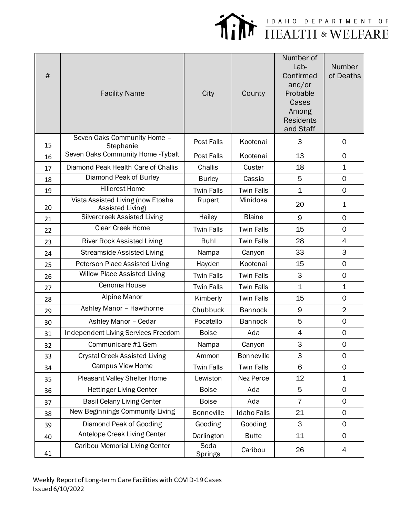

| #  | <b>Facility Name</b>                                  | City                   | County             | Number of<br>Lab-<br>Confirmed<br>and/or<br>Probable<br>Cases<br>Among<br><b>Residents</b><br>and Staff | Number<br>of Deaths |
|----|-------------------------------------------------------|------------------------|--------------------|---------------------------------------------------------------------------------------------------------|---------------------|
| 15 | Seven Oaks Community Home -<br>Stephanie              | Post Falls             | Kootenai           | 3                                                                                                       | 0                   |
| 16 | Seven Oaks Community Home - Tybalt                    | Post Falls             | Kootenai           | 13                                                                                                      | $\mathsf{O}$        |
| 17 | Diamond Peak Health Care of Challis                   | Challis                | Custer             | 18                                                                                                      | $\mathbf 1$         |
| 18 | Diamond Peak of Burley                                | <b>Burley</b>          | Cassia             | 5                                                                                                       | $\mathsf{O}$        |
| 19 | <b>Hillcrest Home</b>                                 | <b>Twin Falls</b>      | <b>Twin Falls</b>  | $\mathbf 1$                                                                                             | $\mathsf{O}$        |
| 20 | Vista Assisted Living (now Etosha<br>Assisted Living) | Rupert                 | Minidoka           | 20                                                                                                      | $\mathbf 1$         |
| 21 | Silvercreek Assisted Living                           | Hailey                 | <b>Blaine</b>      | 9                                                                                                       | $\mathsf{O}$        |
| 22 | Clear Creek Home                                      | <b>Twin Falls</b>      | <b>Twin Falls</b>  | 15                                                                                                      | $\mathbf 0$         |
| 23 | <b>River Rock Assisted Living</b>                     | <b>Buhl</b>            | <b>Twin Falls</b>  | 28                                                                                                      | 4                   |
| 24 | <b>Streamside Assisted Living</b>                     | Nampa                  | Canyon             | 33                                                                                                      | 3                   |
| 25 | Peterson Place Assisted Living                        | Hayden                 | Kootenai           | 15                                                                                                      | $\mathsf{O}$        |
| 26 | <b>Willow Place Assisted Living</b>                   | <b>Twin Falls</b>      | <b>Twin Falls</b>  | 3                                                                                                       | $\mathsf{O}$        |
| 27 | Cenoma House                                          | <b>Twin Falls</b>      | <b>Twin Falls</b>  | $\mathbf 1$                                                                                             | $\mathbf 1$         |
| 28 | Alpine Manor                                          | Kimberly               | <b>Twin Falls</b>  | 15                                                                                                      | 0                   |
| 29 | Ashley Manor - Hawthorne                              | Chubbuck               | <b>Bannock</b>     | 9                                                                                                       | $\overline{2}$      |
| 30 | Ashley Manor - Cedar                                  | Pocatello              | <b>Bannock</b>     | 5                                                                                                       | $\mathsf{O}\xspace$ |
| 31 | Independent Living Services Freedom                   | <b>Boise</b>           | Ada                | $\overline{4}$                                                                                          | $\mathsf{O}\xspace$ |
| 32 | Communicare #1 Gem                                    | Nampa                  | Canyon             | 3                                                                                                       | $\mathsf{O}\xspace$ |
| 33 | <b>Crystal Creek Assisted Living</b>                  | Ammon                  | <b>Bonneville</b>  | 3                                                                                                       | 0                   |
| 34 | Campus View Home                                      | <b>Twin Falls</b>      | <b>Twin Falls</b>  | 6                                                                                                       | $\mathsf{O}$        |
| 35 | Pleasant Valley Shelter Home                          | Lewiston               | Nez Perce          | 12                                                                                                      | $\mathbf 1$         |
| 36 | <b>Hettinger Living Center</b>                        | <b>Boise</b>           | Ada                | 5                                                                                                       | $\mathbf 0$         |
| 37 | <b>Basil Celany Living Center</b>                     | <b>Boise</b>           | Ada                | $\overline{7}$                                                                                          | $\mathsf{O}$        |
| 38 | New Beginnings Community Living                       | <b>Bonneville</b>      | <b>Idaho Falls</b> | 21                                                                                                      | $\mathsf{O}$        |
| 39 | Diamond Peak of Gooding                               | Gooding                | Gooding            | 3                                                                                                       | $\mathsf{O}$        |
| 40 | Antelope Creek Living Center                          | Darlington             | <b>Butte</b>       | 11                                                                                                      | $\mathsf{O}$        |
| 41 | <b>Caribou Memorial Living Center</b>                 | Soda<br><b>Springs</b> | Caribou            | 26                                                                                                      | 4                   |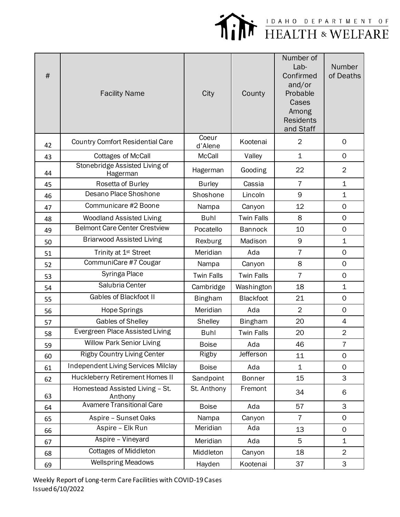

| #  | <b>Facility Name</b>                       | City              | County            | Number of<br>Lab-<br>Confirmed<br>and/or<br>Probable<br>Cases<br>Among<br><b>Residents</b><br>and Staff | Number<br>of Deaths |
|----|--------------------------------------------|-------------------|-------------------|---------------------------------------------------------------------------------------------------------|---------------------|
| 42 | <b>Country Comfort Residential Care</b>    | Coeur<br>d'Alene  | Kootenai          | $\overline{2}$                                                                                          | $\mathbf 0$         |
| 43 | <b>Cottages of McCall</b>                  | <b>McCall</b>     | Valley            | $\mathbf 1$                                                                                             | $\mathbf 0$         |
| 44 | Stonebridge Assisted Living of<br>Hagerman | Hagerman          | Gooding           | 22                                                                                                      | $\overline{2}$      |
| 45 | Rosetta of Burley                          | <b>Burley</b>     | Cassia            | $\overline{7}$                                                                                          | $\mathbf 1$         |
| 46 | Desano Place Shoshone                      | Shoshone          | Lincoln           | 9                                                                                                       | $\mathbf 1$         |
| 47 | Communicare #2 Boone                       | Nampa             | Canyon            | 12                                                                                                      | $\mathsf{O}\xspace$ |
| 48 | <b>Woodland Assisted Living</b>            | <b>Buhl</b>       | <b>Twin Falls</b> | 8                                                                                                       | $\mathbf 0$         |
| 49 | <b>Belmont Care Center Crestview</b>       | Pocatello         | <b>Bannock</b>    | 10                                                                                                      | $\mathbf 0$         |
| 50 | <b>Briarwood Assisted Living</b>           | Rexburg           | Madison           | 9                                                                                                       | $\mathbf 1$         |
| 51 | Trinity at 1 <sup>st</sup> Street          | Meridian          | Ada               | $\overline{7}$                                                                                          | $\mathbf 0$         |
| 52 | CommuniCare #7 Cougar                      | Nampa             | Canyon            | 8                                                                                                       | 0                   |
| 53 | Syringa Place                              | <b>Twin Falls</b> | <b>Twin Falls</b> | $\overline{7}$                                                                                          | $\mathbf 0$         |
| 54 | Salubria Center                            | Cambridge         | Washington        | 18                                                                                                      | $\mathbf 1$         |
| 55 | <b>Gables of Blackfoot II</b>              | <b>Bingham</b>    | Blackfoot         | 21                                                                                                      | $\mathsf{O}\xspace$ |
| 56 | Hope Springs                               | Meridian          | Ada               | $\overline{2}$                                                                                          | $\mathsf{O}\xspace$ |
| 57 | Gables of Shelley                          | Shelley           | <b>Bingham</b>    | 20                                                                                                      | 4                   |
| 58 | Evergreen Place Assisted Living            | <b>Buhl</b>       | <b>Twin Falls</b> | 20                                                                                                      | $\overline{2}$      |
| 59 | <b>Willow Park Senior Living</b>           | <b>Boise</b>      | Ada               | 46                                                                                                      | 7                   |
| 60 | <b>Rigby Country Living Center</b>         | Rigby             | Jefferson         | 11                                                                                                      | $\mathbf 0$         |
| 61 | <b>Independent Living Services Milclay</b> | <b>Boise</b>      | Ada               | $\mathbf 1$                                                                                             | 0                   |
| 62 | Huckleberry Retirement Homes II            | Sandpoint         | <b>Bonner</b>     | 15                                                                                                      | 3                   |
| 63 | Homestead Assisted Living - St.<br>Anthony | St. Anthony       | Fremont           | 34                                                                                                      | 6                   |
| 64 | <b>Avamere Transitional Care</b>           | <b>Boise</b>      | Ada               | 57                                                                                                      | 3                   |
| 65 | Aspire - Sunset Oaks                       | Nampa             | Canyon            | $\overline{7}$                                                                                          | $\mathbf 0$         |
| 66 | Aspire - Elk Run                           | Meridian          | Ada               | 13                                                                                                      | $\mathsf{O}\xspace$ |
| 67 | Aspire - Vineyard                          | Meridian          | Ada               | 5                                                                                                       | 1                   |
| 68 | <b>Cottages of Middleton</b>               | Middleton         | Canyon            | 18                                                                                                      | $\overline{2}$      |
| 69 | <b>Wellspring Meadows</b>                  | Hayden            | Kootenai          | 37                                                                                                      | 3                   |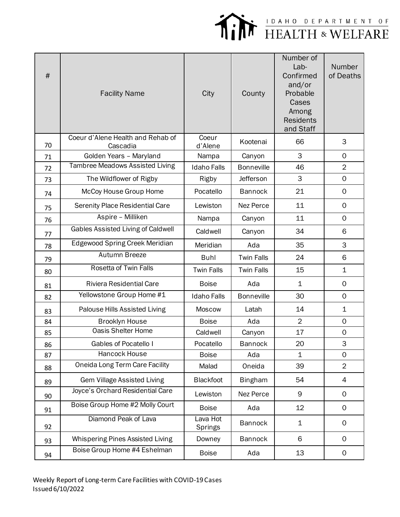

| $\#$ | <b>Facility Name</b>                          | City                | County            | Number of<br>Lab-<br>Confirmed<br>and/or<br>Probable<br>Cases<br>Among<br><b>Residents</b><br>and Staff | Number<br>of Deaths       |
|------|-----------------------------------------------|---------------------|-------------------|---------------------------------------------------------------------------------------------------------|---------------------------|
| 70   | Coeur d'Alene Health and Rehab of<br>Cascadia | Coeur<br>d'Alene    | Kootenai          | 66                                                                                                      | 3                         |
| 71   | Golden Years - Maryland                       | Nampa               | Canyon            | 3                                                                                                       | $\mathsf{O}$              |
| 72   | Tambree Meadows Assisted Living               | <b>Idaho Falls</b>  | <b>Bonneville</b> | 46                                                                                                      | $\overline{2}$            |
| 73   | The Wildflower of Rigby                       | Rigby               | Jefferson         | 3                                                                                                       | 0                         |
| 74   | McCoy House Group Home                        | Pocatello           | <b>Bannock</b>    | 21                                                                                                      | $\mathsf{O}$              |
| 75   | Serenity Place Residential Care               | Lewiston            | Nez Perce         | 11                                                                                                      | $\mathbf 0$               |
| 76   | Aspire - Milliken                             | Nampa               | Canyon            | 11                                                                                                      | $\mathsf{O}$              |
| 77   | Gables Assisted Living of Caldwell            | Caldwell            | Canyon            | 34                                                                                                      | 6                         |
| 78   | Edgewood Spring Creek Meridian                | Meridian            | Ada               | 35                                                                                                      | 3                         |
| 79   | Autumn Breeze                                 | <b>Buhl</b>         | <b>Twin Falls</b> | 24                                                                                                      | 6                         |
| 80   | Rosetta of Twin Falls                         | <b>Twin Falls</b>   | <b>Twin Falls</b> | 15                                                                                                      | $\mathbf{1}$              |
| 81   | <b>Riviera Residential Care</b>               | <b>Boise</b>        | Ada               | $\mathbf 1$                                                                                             | $\mathbf 0$               |
| 82   | Yellowstone Group Home #1                     | <b>Idaho Falls</b>  | <b>Bonneville</b> | 30                                                                                                      | $\mathsf{O}$              |
| 83   | Palouse Hills Assisted Living                 | Moscow              | Latah             | 14                                                                                                      | $\mathbf 1$               |
| 84   | <b>Brooklyn House</b>                         | <b>Boise</b>        | Ada               | $\overline{2}$                                                                                          | $\mathsf{O}$              |
| 85   | <b>Oasis Shelter Home</b>                     | Caldwell            | Canyon            | 17                                                                                                      | 0                         |
| 86   | <b>Gables of Pocatello I</b>                  | Pocatello           | <b>Bannock</b>    | 20                                                                                                      | $\ensuremath{\mathsf{3}}$ |
| 87   | Hancock House                                 | <b>Boise</b>        | Ada               | $\mathbf 1$                                                                                             | $\mathsf{O}$              |
| 88   | Oneida Long Term Care Facility                | Malad               | Oneida            | 39                                                                                                      | $\overline{2}$            |
| 89   | <b>Gem Village Assisted Living</b>            | Blackfoot           | <b>Bingham</b>    | 54                                                                                                      | 4                         |
| 90   | Joyce's Orchard Residential Care              | Lewiston            | Nez Perce         | 9                                                                                                       | 0                         |
| 91   | Boise Group Home #2 Molly Court               | <b>Boise</b>        | Ada               | 12                                                                                                      | 0                         |
| 92   | Diamond Peak of Lava                          | Lava Hot<br>Springs | <b>Bannock</b>    | $\mathbf 1$                                                                                             | 0                         |
| 93   | Whispering Pines Assisted Living              | Downey              | <b>Bannock</b>    | 6                                                                                                       | $\mathsf{O}$              |
| 94   | Boise Group Home #4 Eshelman                  | <b>Boise</b>        | Ada               | 13                                                                                                      | 0                         |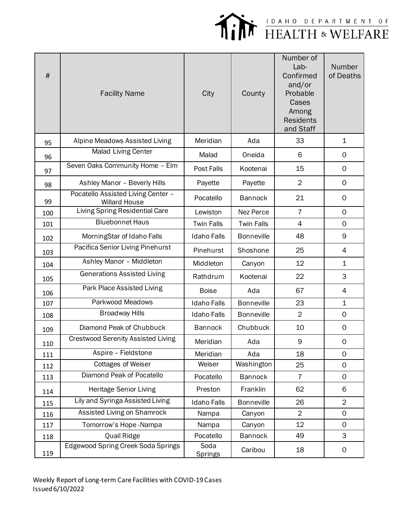

| #   | <b>Facility Name</b>                                       | City                   | County            | Number of<br>Lab-<br>Confirmed<br>and/or<br>Probable<br>Cases<br>Among<br><b>Residents</b><br>and Staff | Number<br>of Deaths |
|-----|------------------------------------------------------------|------------------------|-------------------|---------------------------------------------------------------------------------------------------------|---------------------|
| 95  | Alpine Meadows Assisted Living                             | Meridian               | Ada               | 33                                                                                                      | $\mathbf 1$         |
| 96  | Malad Living Center                                        | Malad                  | Oneida            | 6                                                                                                       | $\mathbf 0$         |
| 97  | Seven Oaks Community Home - Elm                            | Post Falls             | Kootenai          | 15                                                                                                      | $\mathbf 0$         |
| 98  | Ashley Manor - Beverly Hills                               | Payette                | Payette           | $\overline{2}$                                                                                          | 0                   |
| 99  | Pocatello Assisted Living Center -<br><b>Willard House</b> | Pocatello              | <b>Bannock</b>    | 21                                                                                                      | $\mathsf{O}\xspace$ |
| 100 | <b>Living Spring Residential Care</b>                      | Lewiston               | Nez Perce         | $\overline{7}$                                                                                          | 0                   |
| 101 | <b>Bluebonnet Haus</b>                                     | <b>Twin Falls</b>      | <b>Twin Falls</b> | $\overline{4}$                                                                                          | $\mathsf{O}$        |
| 102 | MorningStar of Idaho Falls                                 | <b>Idaho Falls</b>     | <b>Bonneville</b> | 48                                                                                                      | 9                   |
| 103 | Pacifica Senior Living Pinehurst                           | Pinehurst              | Shoshone          | 25                                                                                                      | $\overline{4}$      |
| 104 | Ashley Manor - Middleton                                   | Middleton              | Canyon            | 12                                                                                                      | $\mathbf 1$         |
| 105 | <b>Generations Assisted Living</b>                         | Rathdrum               | Kootenai          | 22                                                                                                      | 3                   |
| 106 | Park Place Assisted Living                                 | <b>Boise</b>           | Ada               | 67                                                                                                      | $\overline{4}$      |
| 107 | Parkwood Meadows                                           | <b>Idaho Falls</b>     | <b>Bonneville</b> | 23                                                                                                      | $\mathbf 1$         |
| 108 | <b>Broadway Hills</b>                                      | <b>Idaho Falls</b>     | <b>Bonneville</b> | $\overline{2}$                                                                                          | $\mathsf{O}$        |
| 109 | Diamond Peak of Chubbuck                                   | <b>Bannock</b>         | Chubbuck          | 10                                                                                                      | 0                   |
| 110 | <b>Crestwood Serenity Assisted Living</b>                  | Meridian               | Ada               | 9                                                                                                       | 0                   |
| 111 | Aspire - Fieldstone                                        | Meridian               | Ada               | 18                                                                                                      | $\mathsf{O}$        |
| 112 | <b>Cottages of Weiser</b>                                  | Weiser                 | Washington        | 25                                                                                                      | $\mathsf{O}$        |
| 113 | Diamond Peak of Pocatello                                  | Pocatello              | <b>Bannock</b>    | 7                                                                                                       | 0                   |
| 114 | Heritage Senior Living                                     | Preston                | Franklin          | 62                                                                                                      | 6                   |
| 115 | Lily and Syringa Assisted Living                           | <b>Idaho Falls</b>     | <b>Bonneville</b> | 26                                                                                                      | $\overline{2}$      |
| 116 | Assisted Living on Shamrock                                | Nampa                  | Canyon            | $\overline{2}$                                                                                          | $\mathbf 0$         |
| 117 | Tomorrow's Hope-Nampa                                      | Nampa                  | Canyon            | 12                                                                                                      | $\mathsf{O}$        |
| 118 | Quail Ridge                                                | Pocatello              | <b>Bannock</b>    | 49                                                                                                      | 3                   |
| 119 | Edgewood Spring Creek Soda Springs                         | Soda<br><b>Springs</b> | Caribou           | 18                                                                                                      | 0                   |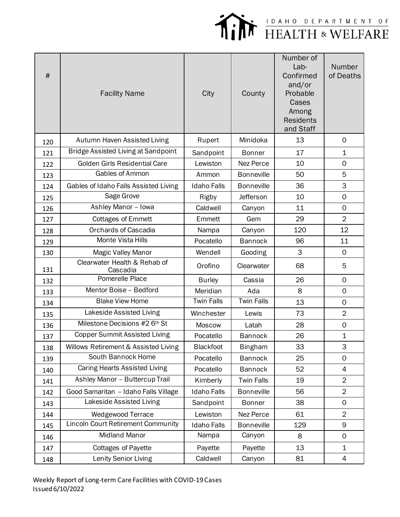

| $\#$ | <b>Facility Name</b>                       | City               | County            | Number of<br>Lab-<br>Confirmed<br>and/or<br>Probable<br>Cases<br>Among<br><b>Residents</b><br>and Staff | Number<br>of Deaths |
|------|--------------------------------------------|--------------------|-------------------|---------------------------------------------------------------------------------------------------------|---------------------|
| 120  | Autumn Haven Assisted Living               | Rupert             | Minidoka          | 13                                                                                                      | $\mathbf 0$         |
| 121  | <b>Bridge Assisted Living at Sandpoint</b> | Sandpoint          | <b>Bonner</b>     | 17                                                                                                      | $\mathbf{1}$        |
| 122  | Golden Girls Residential Care              | Lewiston           | <b>Nez Perce</b>  | 10                                                                                                      | $\Omega$            |
| 123  | Gables of Ammon                            | Ammon              | <b>Bonneville</b> | 50                                                                                                      | 5                   |
| 124  | Gables of Idaho Falls Assisted Living      | <b>Idaho Falls</b> | <b>Bonneville</b> | 36                                                                                                      | 3                   |
| 125  | Sage Grove                                 | Rigby              | <b>Jefferson</b>  | 10                                                                                                      | $\mathbf 0$         |
| 126  | Ashley Manor - Iowa                        | Caldwell           | Canyon            | 11                                                                                                      | $\mathsf{O}\xspace$ |
| 127  | <b>Cottages of Emmett</b>                  | Emmett             | Gem               | 29                                                                                                      | $\overline{2}$      |
| 128  | <b>Orchards of Cascadia</b>                | Nampa              | Canyon            | 120                                                                                                     | 12                  |
| 129  | Monte Vista Hills                          | Pocatello          | <b>Bannock</b>    | 96                                                                                                      | 11                  |
| 130  | Magic Valley Manor                         | Wendell            | Gooding           | 3                                                                                                       | $\overline{0}$      |
| 131  | Clearwater Health & Rehab of<br>Cascadia   | Orofino            | Clearwater        | 68                                                                                                      | 5                   |
| 132  | Pomerelle Place                            | <b>Burley</b>      | Cassia            | 26                                                                                                      | $\Omega$            |
| 133  | Mentor Boise - Bedford                     | Meridian           | Ada               | 8                                                                                                       | $\mathbf 0$         |
| 134  | <b>Blake View Home</b>                     | <b>Twin Falls</b>  | <b>Twin Falls</b> | 13                                                                                                      | $\mathbf 0$         |
| 135  | Lakeside Assisted Living                   | Winchester         | Lewis             | 73                                                                                                      | $\overline{2}$      |
| 136  | Milestone Decisions #2 6th St              | <b>Moscow</b>      | Latah             | 28                                                                                                      | $\mathbf 0$         |
| 137  | <b>Copper Summit Assisted Living</b>       | Pocatello          | <b>Bannock</b>    | 26                                                                                                      | $\mathbf 1$         |
| 138  | Willows Retirement & Assisted Living       | Blackfoot          | <b>Bingham</b>    | 33                                                                                                      | 3                   |
| 139  | South Bannock Home                         | Pocatello          | <b>Bannock</b>    | 25                                                                                                      | 0                   |
| 140  | Caring Hearts Assisted Living              | Pocatello          | <b>Bannock</b>    | 52                                                                                                      | 4                   |
| 141  | Ashley Manor - Buttercup Trail             | Kimberly           | <b>Twin Falls</b> | 19                                                                                                      | $\overline{2}$      |
| 142  | Good Samaritan - Idaho Falls Village       | <b>Idaho Falls</b> | <b>Bonneville</b> | 56                                                                                                      | $\overline{2}$      |
| 143  | Lakeside Assisted Living                   | Sandpoint          | <b>Bonner</b>     | 38                                                                                                      | $\mathbf 0$         |
| 144  | Wedgewood Terrace                          | Lewiston           | Nez Perce         | 61                                                                                                      | $\overline{2}$      |
| 145  | <b>Lincoln Court Retirement Community</b>  | <b>Idaho Falls</b> | <b>Bonneville</b> | 129                                                                                                     | 9                   |
| 146  | <b>Midland Manor</b>                       | Nampa              | Canyon            | 8                                                                                                       | $\mathbf 0$         |
| 147  | <b>Cottages of Payette</b>                 | Payette            | Payette           | 13                                                                                                      | $\mathbf 1$         |
| 148  | Lenity Senior Living                       | Caldwell           | Canyon            | 81                                                                                                      | 4                   |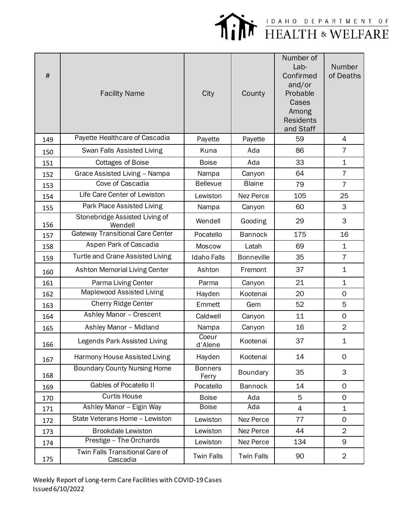

| #   | <b>Facility Name</b>                        | City                    | County            | Number of<br>Lab-<br>Confirmed<br>and/or<br>Probable<br>Cases<br>Among<br><b>Residents</b><br>and Staff | Number<br>of Deaths |
|-----|---------------------------------------------|-------------------------|-------------------|---------------------------------------------------------------------------------------------------------|---------------------|
| 149 | Payette Healthcare of Cascadia              | Payette                 | Payette           | 59                                                                                                      | 4                   |
| 150 | Swan Falls Assisted Living                  | Kuna                    | Ada               | 86                                                                                                      | $\overline{7}$      |
| 151 | <b>Cottages of Boise</b>                    | <b>Boise</b>            | Ada               | 33                                                                                                      | $\mathbf 1$         |
| 152 | Grace Assisted Living - Nampa               | Nampa                   | Canyon            | 64                                                                                                      | $\overline{7}$      |
| 153 | <b>Cove of Cascadia</b>                     | <b>Bellevue</b>         | <b>Blaine</b>     | 79                                                                                                      | 7                   |
| 154 | Life Care Center of Lewiston                | Lewiston                | Nez Perce         | 105                                                                                                     | 25                  |
| 155 | Park Place Assisted Living                  | Nampa                   | Canyon            | 60                                                                                                      | 3                   |
| 156 | Stonebridge Assisted Living of<br>Wendell   | Wendell                 | Gooding           | 29                                                                                                      | 3                   |
| 157 | <b>Gateway Transitional Care Center</b>     | Pocatello               | <b>Bannock</b>    | 175                                                                                                     | 16                  |
| 158 | Aspen Park of Cascadia                      | <b>Moscow</b>           | Latah             | 69                                                                                                      | 1                   |
| 159 | Turtle and Crane Assisted Living            | <b>Idaho Falls</b>      | <b>Bonneville</b> | 35                                                                                                      | $\overline{7}$      |
| 160 | <b>Ashton Memorial Living Center</b>        | Ashton                  | Fremont           | 37                                                                                                      | $\mathbf 1$         |
| 161 | Parma Living Center                         | Parma                   | Canyon            | 21                                                                                                      | $\mathbf 1$         |
| 162 | Maplewood Assisted Living                   | Hayden                  | Kootenai          | 20                                                                                                      | $\mathsf O$         |
| 163 | Cherry Ridge Center                         | Emmett                  | Gem               | 52                                                                                                      | 5                   |
| 164 | Ashley Manor - Crescent                     | Caldwell                | Canyon            | 11                                                                                                      | $\mathsf O$         |
| 165 | Ashley Manor - Midland                      | Nampa                   | Canyon            | 16                                                                                                      | $\overline{2}$      |
| 166 | Legends Park Assisted Living                | Coeur<br>d'Alene        | Kootenai          | 37                                                                                                      | 1                   |
| 167 | Harmony House Assisted Living               | Hayden                  | Kootenai          | 14                                                                                                      | $\mathbf 0$         |
| 168 | <b>Boundary County Nursing Home</b>         | <b>Bonners</b><br>Ferry | <b>Boundary</b>   | 35                                                                                                      | 3                   |
| 169 | <b>Gables of Pocatello II</b>               | Pocatello               | <b>Bannock</b>    | 14                                                                                                      | $\mathsf{O}$        |
| 170 | <b>Curtis House</b>                         | <b>Boise</b>            | Ada               | 5                                                                                                       | $\mathbf 0$         |
| 171 | Ashley Manor - Elgin Way                    | <b>Boise</b>            | Ada               | 4                                                                                                       | $\mathbf 1$         |
| 172 | State Veterans Home - Lewiston              | Lewiston                | Nez Perce         | 77                                                                                                      | 0                   |
| 173 | <b>Brookdale Lewiston</b>                   | Lewiston                | Nez Perce         | 44                                                                                                      | $\overline{2}$      |
| 174 | Prestige - The Orchards                     | Lewiston                | Nez Perce         | 134                                                                                                     | 9                   |
| 175 | Twin Falls Transitional Care of<br>Cascadia | <b>Twin Falls</b>       | <b>Twin Falls</b> | 90                                                                                                      | $\overline{2}$      |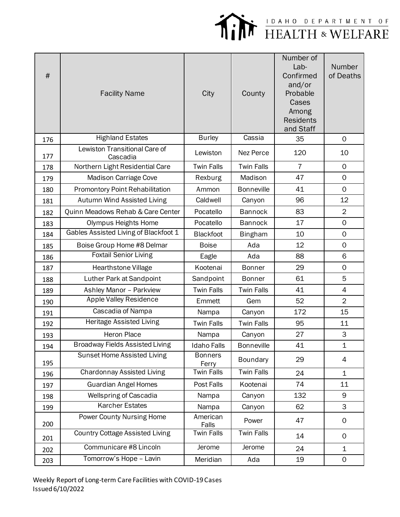

| #   | <b>Facility Name</b>                      | City                    | County            | Number of<br>Lab-<br>Confirmed<br>and/or<br>Probable<br>Cases<br>Among<br><b>Residents</b><br>and Staff | Number<br>of Deaths |
|-----|-------------------------------------------|-------------------------|-------------------|---------------------------------------------------------------------------------------------------------|---------------------|
| 176 | <b>Highland Estates</b>                   | <b>Burley</b>           | Cassia            | 35                                                                                                      | $\mathsf{O}$        |
| 177 | Lewiston Transitional Care of<br>Cascadia | Lewiston                | Nez Perce         | 120                                                                                                     | 10                  |
| 178 | Northern Light Residential Care           | <b>Twin Falls</b>       | <b>Twin Falls</b> | $\overline{7}$                                                                                          | $\mathbf 0$         |
| 179 | Madison Carriage Cove                     | Rexburg                 | Madison           | 47                                                                                                      | $\mathbf 0$         |
| 180 | Promontory Point Rehabilitation           | Ammon                   | <b>Bonneville</b> | 41                                                                                                      | $\mathbf 0$         |
| 181 | Autumn Wind Assisted Living               | Caldwell                | Canyon            | 96                                                                                                      | 12                  |
| 182 | Quinn Meadows Rehab & Care Center         | Pocatello               | <b>Bannock</b>    | 83                                                                                                      | $\overline{2}$      |
| 183 | <b>Olympus Heights Home</b>               | Pocatello               | <b>Bannock</b>    | 17                                                                                                      | $\mathsf{O}\xspace$ |
| 184 | Gables Assisted Living of Blackfoot 1     | <b>Blackfoot</b>        | <b>Bingham</b>    | 10                                                                                                      | $\mathsf{O}\xspace$ |
| 185 | Boise Group Home #8 Delmar                | <b>Boise</b>            | Ada               | 12                                                                                                      | $\mathbf 0$         |
| 186 | <b>Foxtail Senior Living</b>              | Eagle                   | Ada               | 88                                                                                                      | 6                   |
| 187 | Hearthstone Village                       | Kootenai                | <b>Bonner</b>     | 29                                                                                                      | $\mathsf{O}\xspace$ |
| 188 | Luther Park at Sandpoint                  | Sandpoint               | <b>Bonner</b>     | 61                                                                                                      | 5                   |
| 189 | Ashley Manor - Parkview                   | <b>Twin Falls</b>       | <b>Twin Falls</b> | 41                                                                                                      | $\overline{4}$      |
| 190 | Apple Valley Residence                    | Emmett                  | Gem               | 52                                                                                                      | $\overline{2}$      |
| 191 | Cascadia of Nampa                         | Nampa                   | Canyon            | 172                                                                                                     | 15                  |
| 192 | Heritage Assisted Living                  | <b>Twin Falls</b>       | <b>Twin Falls</b> | 95                                                                                                      | 11                  |
| 193 | Heron Place                               | Nampa                   | Canyon            | 27                                                                                                      | 3                   |
| 194 | <b>Broadway Fields Assisted Living</b>    | <b>Idaho Falls</b>      | Bonneville        | 41                                                                                                      | 1                   |
| 195 | <b>Sunset Home Assisted Living</b>        | <b>Bonners</b><br>Ferry | Boundary          | 29                                                                                                      | $\overline{4}$      |
| 196 | <b>Chardonnay Assisted Living</b>         | <b>Twin Falls</b>       | <b>Twin Falls</b> | 24                                                                                                      | $\mathbf 1$         |
| 197 | <b>Guardian Angel Homes</b>               | Post Falls              | Kootenai          | 74                                                                                                      | 11                  |
| 198 | <b>Wellspring of Cascadia</b>             | Nampa                   | Canyon            | 132                                                                                                     | 9                   |
| 199 | <b>Karcher Estates</b>                    | Nampa                   | Canyon            | 62                                                                                                      | 3                   |
| 200 | Power County Nursing Home                 | American<br>Falls       | Power             | 47                                                                                                      | $\mathsf{O}$        |
| 201 | <b>Country Cottage Assisted Living</b>    | <b>Twin Falls</b>       | <b>Twin Falls</b> | 14                                                                                                      | $\mathbf 0$         |
| 202 | Communicare #8 Lincoln                    | Jerome                  | Jerome            | 24                                                                                                      | $\mathbf 1$         |
| 203 | Tomorrow's Hope - Lavin                   | Meridian                | Ada               | 19                                                                                                      | $\mathsf{O}\xspace$ |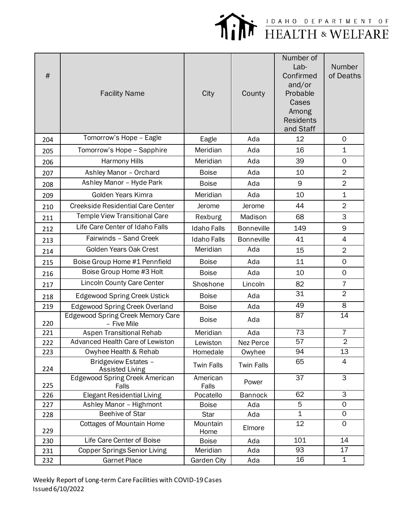

| #   | <b>Facility Name</b>                                    | City               | County            | Number of<br>Lab-<br>Confirmed<br>and/or<br>Probable<br>Cases<br>Among<br><b>Residents</b><br>and Staff | <b>Number</b><br>of Deaths |
|-----|---------------------------------------------------------|--------------------|-------------------|---------------------------------------------------------------------------------------------------------|----------------------------|
| 204 | Tomorrow's Hope - Eagle                                 | Eagle              | Ada               | 12                                                                                                      | 0                          |
| 205 | Tomorrow's Hope - Sapphire                              | Meridian           | Ada               | 16                                                                                                      | $\mathbf 1$                |
| 206 | Harmony Hills                                           | Meridian           | Ada               | 39                                                                                                      | $\mathsf{O}\xspace$        |
| 207 | Ashley Manor - Orchard                                  | <b>Boise</b>       | Ada               | 10                                                                                                      | $\overline{2}$             |
| 208 | Ashley Manor - Hyde Park                                | <b>Boise</b>       | Ada               | 9                                                                                                       | $\overline{2}$             |
| 209 | Golden Years Kimra                                      | Meridian           | Ada               | 10                                                                                                      | $\mathbf 1$                |
| 210 | <b>Creekside Residential Care Center</b>                | Jerome             | Jerome            | 44                                                                                                      | $\overline{2}$             |
| 211 | <b>Temple View Transitional Care</b>                    | Rexburg            | Madison           | 68                                                                                                      | 3                          |
| 212 | Life Care Center of Idaho Falls                         | <b>Idaho Falls</b> | <b>Bonneville</b> | 149                                                                                                     | 9                          |
| 213 | Fairwinds - Sand Creek                                  | <b>Idaho Falls</b> | <b>Bonneville</b> | 41                                                                                                      | 4                          |
| 214 | Golden Years Oak Crest                                  | Meridian           | Ada               | 15                                                                                                      | $\overline{2}$             |
| 215 | Boise Group Home #1 Pennfield                           | <b>Boise</b>       | Ada               | 11                                                                                                      | 0                          |
| 216 | Boise Group Home #3 Holt                                | <b>Boise</b>       | Ada               | 10                                                                                                      | $\mathbf 0$                |
| 217 | <b>Lincoln County Care Center</b>                       | Shoshone           | Lincoln           | 82                                                                                                      | $\overline{7}$             |
| 218 | <b>Edgewood Spring Creek Ustick</b>                     | <b>Boise</b>       | Ada               | 31                                                                                                      | $\overline{2}$             |
| 219 | <b>Edgewood Spring Creek Overland</b>                   | <b>Boise</b>       | Ada               | 49                                                                                                      | 8                          |
| 220 | <b>Edgewood Spring Creek Memory Care</b><br>- Five Mile | <b>Boise</b>       | Ada               | 87                                                                                                      | 14                         |
| 221 | Aspen Transitional Rehab                                | Meridian           | Ada               | $\overline{73}$                                                                                         | $\overline{7}$             |
| 222 | Advanced Health Care of Lewiston                        | Lewiston           | Nez Perce         | 57                                                                                                      | $\overline{2}$             |
| 223 | Owyhee Health & Rehab                                   | Homedale           | Owyhee            | 94                                                                                                      | 13                         |
| 224 | Bridgeview Estates -<br><b>Assisted Living</b>          | <b>Twin Falls</b>  | <b>Twin Falls</b> | 65                                                                                                      | 4                          |
| 225 | Edgewood Spring Creek American<br>Falls                 | American<br>Falls  | Power             | $\overline{37}$                                                                                         | $\overline{3}$             |
| 226 | <b>Elegant Residential Living</b>                       | Pocatello          | <b>Bannock</b>    | 62                                                                                                      | $\overline{\omega}$        |
| 227 | Ashley Manor - Highmont                                 | <b>Boise</b>       | Ada               | 5                                                                                                       | 0                          |
| 228 | <b>Beehive of Star</b>                                  | Star               | Ada               | $\mathbf 1$                                                                                             | $\mathsf{O}\xspace$        |
| 229 | Cottages of Mountain Home                               | Mountain<br>Home   | Elmore            | 12                                                                                                      | $\mathsf{O}\xspace$        |
| 230 | Life Care Center of Boise                               | <b>Boise</b>       | Ada               | 101                                                                                                     | 14                         |
| 231 | <b>Copper Springs Senior Living</b>                     | Meridian           | Ada               | 93                                                                                                      | 17                         |
| 232 | <b>Garnet Place</b>                                     | Garden City        | Ada               | 16                                                                                                      | $\mathbf 1$                |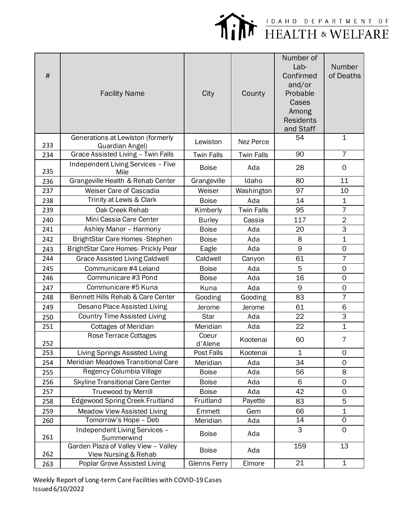

| #   | <b>Facility Name</b>                                         | City                | County            | Number of<br>Lab-<br>Confirmed<br>and/or<br>Probable<br>Cases<br>Among<br><b>Residents</b><br>and Staff | Number<br>of Deaths |
|-----|--------------------------------------------------------------|---------------------|-------------------|---------------------------------------------------------------------------------------------------------|---------------------|
| 233 | Generations at Lewiston (formerly<br>Guardian Angel)         | Lewiston            | Nez Perce         | 54                                                                                                      | $\mathbf 1$         |
| 234 | Grace Assisted Living - Twin Falls                           | <b>Twin Falls</b>   | <b>Twin Falls</b> | 90                                                                                                      | $\overline{7}$      |
| 235 | Independent Living Services - Five<br>Mile                   | <b>Boise</b>        | Ada               | 28                                                                                                      | $\mathbf 0$         |
| 236 | Grangeville Health & Rehab Center                            | Grangeville         | Idaho             | 80                                                                                                      | 11                  |
| 237 | Weiser Care of Cascadia                                      | Weiser              | Washington        | 97                                                                                                      | 10                  |
| 238 | Trinity at Lewis & Clark                                     | <b>Boise</b>        | Ada               | 14                                                                                                      | $\mathbf 1$         |
| 239 | Oak Creek Rehab                                              | Kimberly            | <b>Twin Falls</b> | 95                                                                                                      | $\overline{7}$      |
| 240 | Mini Cassia Care Center                                      | <b>Burley</b>       | Cassia            | 117                                                                                                     | $\overline{2}$      |
| 241 | Ashley Manor - Harmony                                       | <b>Boise</b>        | Ada               | 20                                                                                                      | 3                   |
| 242 | BrightStar Care Homes - Stephen                              | <b>Boise</b>        | Ada               | 8                                                                                                       | $\mathbf 1$         |
| 243 | BrightStar Care Homes- Prickly Pear                          | Eagle               | Ada               | 9                                                                                                       | $\mathbf 0$         |
| 244 | <b>Grace Assisted Living Caldwell</b>                        | Caldwell            | Canyon            | 61                                                                                                      | $\overline{7}$      |
| 245 | Communicare #4 Leland                                        | <b>Boise</b>        | Ada               | 5                                                                                                       | $\mathsf{O}\xspace$ |
| 246 | Communicare #3 Pond                                          | <b>Boise</b>        | Ada               | 16                                                                                                      | $\mathsf{O}\xspace$ |
| 247 | Communicare #5 Kuna                                          | Kuna                | Ada               | 9                                                                                                       | $\mathsf{O}\xspace$ |
| 248 | Bennett Hills Rehab & Care Center                            | Gooding             | Gooding           | 83                                                                                                      | $\overline{7}$      |
| 249 | Desano Place Assisted Living                                 | Jerome              | Jerome            | 61                                                                                                      | 6                   |
| 250 | <b>Country Time Assisted Living</b>                          | Star                | Ada               | 22                                                                                                      | 3                   |
| 251 | <b>Cottages of Meridian</b>                                  | Meridian            | Ada               | 22                                                                                                      | $\mathbf{1}$        |
| 252 | Rose Terrace Cottages                                        | Coeur<br>d'Alene    | Kootenai          | 60                                                                                                      | $\overline{7}$      |
| 253 | Living Springs Assisted Living                               | Post Falls          | Kootenai          | $\mathbf 1$                                                                                             | $\mathbf 0$         |
| 254 | Meridian Meadows Transitional Care                           | Meridian            | Ada               | 34                                                                                                      | $\mathbf 0$         |
| 255 | Regency Columbia Village                                     | <b>Boise</b>        | Ada               | 56                                                                                                      | 8                   |
| 256 | <b>Skyline Transitional Care Center</b>                      | <b>Boise</b>        | Ada               | 6                                                                                                       | $\mathsf{O}\xspace$ |
| 257 | <b>Truewood by Merrill</b>                                   | <b>Boise</b>        | Ada               | 42                                                                                                      | $\mathbf 0$         |
| 258 | <b>Edgewood Spring Creek Fruitland</b>                       | Fruitland           | Payette           | 83                                                                                                      | 5                   |
| 259 | <b>Meadow View Assisted Living</b>                           | Emmett              | Gem               | 66                                                                                                      | $\mathbf 1$         |
| 260 | Tomorrow's Hope - Deb                                        | Meridian            | Ada               | 14                                                                                                      | $\mathsf{O}\xspace$ |
| 261 | Independent Living Services -<br>Summerwind                  | <b>Boise</b>        | Ada               | 3                                                                                                       | $\mathbf 0$         |
| 262 | Garden Plaza of Valley View - Valley<br>View Nursing & Rehab | <b>Boise</b>        | Ada               | 159                                                                                                     | 13                  |
| 263 | Poplar Grove Assisted Living                                 | <b>Glenns Ferry</b> | Elmore            | 21                                                                                                      | $\mathbf 1$         |